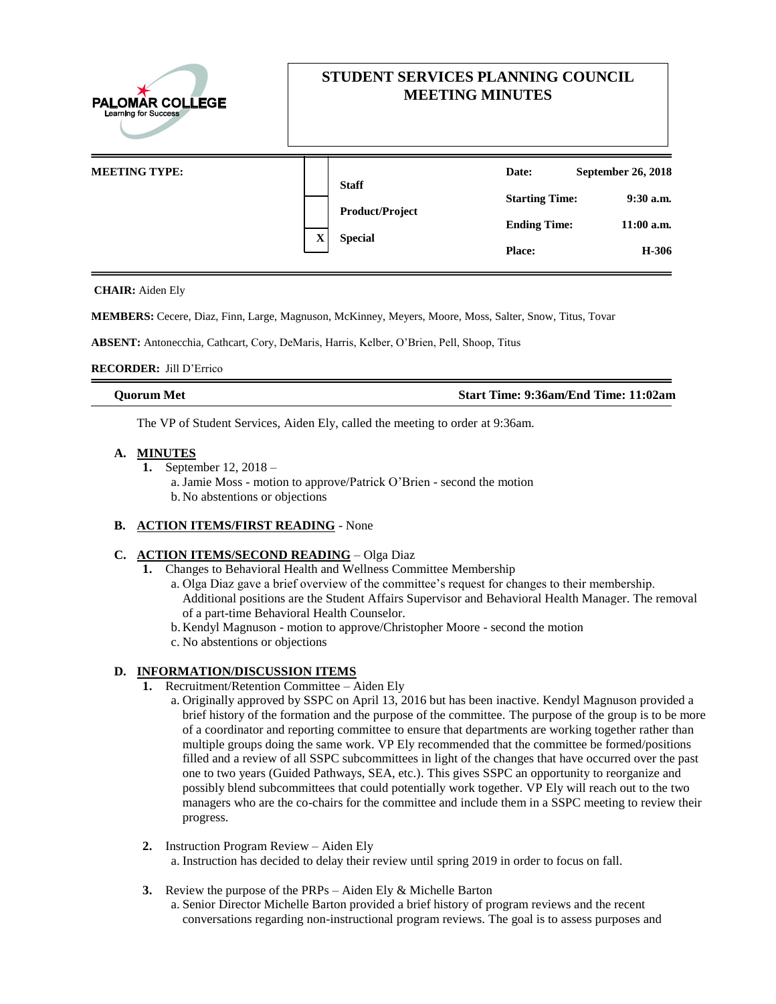| <b>PALOMAR COLLEGE</b><br><b>Learning for Success</b><br><b>MEETING TYPE:</b> | STUDENT SERVICES PLANNING COUNCIL<br><b>MEETING MINUTES</b> |                                      |
|-------------------------------------------------------------------------------|-------------------------------------------------------------|--------------------------------------|
|                                                                               | <b>Staff</b>                                                | September 26, 2018<br>Date:          |
|                                                                               | <b>Product/Project</b><br>X<br><b>Special</b>               | <b>Starting Time:</b><br>$9:30$ a.m. |
|                                                                               |                                                             | $11:00$ a.m.<br><b>Ending Time:</b>  |
|                                                                               |                                                             | H-306<br><b>Place:</b>               |

### **CHAIR:** Aiden Ely

**MEMBERS:** Cecere, Diaz, Finn, Large, Magnuson, McKinney, Meyers, Moore, Moss, Salter, Snow, Titus, Tovar

**ABSENT:** Antonecchia, Cathcart, Cory, DeMaris, Harris, Kelber, O'Brien, Pell, Shoop, Titus

### **RECORDER:** Jill D'Errico

| Ouorum Met | Start Time: 9:36am/End Time: 11:02am |
|------------|--------------------------------------|

The VP of Student Services, Aiden Ely, called the meeting to order at 9:36am.

## **A. MINUTES**

**1.** September 12, 2018 – a. Jamie Moss - motion to approve/Patrick O'Brien - second the motion b. No abstentions or objections

## **B. ACTION ITEMS/FIRST READING** - None

## **C. ACTION ITEMS/SECOND READING** – Olga Diaz

- **1.** Changes to Behavioral Health and Wellness Committee Membership
	- a. Olga Diaz gave a brief overview of the committee's request for changes to their membership. Additional positions are the Student Affairs Supervisor and Behavioral Health Manager. The removal of a part-time Behavioral Health Counselor.
	- b. Kendyl Magnuson motion to approve/Christopher Moore second the motion
	- c. No abstentions or objections

## **D. INFORMATION/DISCUSSION ITEMS**

- **1.** Recruitment/Retention Committee Aiden Ely
	- a. Originally approved by SSPC on April 13, 2016 but has been inactive. Kendyl Magnuson provided a brief history of the formation and the purpose of the committee. The purpose of the group is to be more of a coordinator and reporting committee to ensure that departments are working together rather than multiple groups doing the same work. VP Ely recommended that the committee be formed/positions filled and a review of all SSPC subcommittees in light of the changes that have occurred over the past one to two years (Guided Pathways, SEA, etc.). This gives SSPC an opportunity to reorganize and possibly blend subcommittees that could potentially work together. VP Ely will reach out to the two managers who are the co-chairs for the committee and include them in a SSPC meeting to review their progress.
- **2.** Instruction Program Review Aiden Ely a. Instruction has decided to delay their review until spring 2019 in order to focus on fall.
- **3.** Review the purpose of the PRPs Aiden Ely & Michelle Barton
	- a. Senior Director Michelle Barton provided a brief history of program reviews and the recent conversations regarding non-instructional program reviews. The goal is to assess purposes and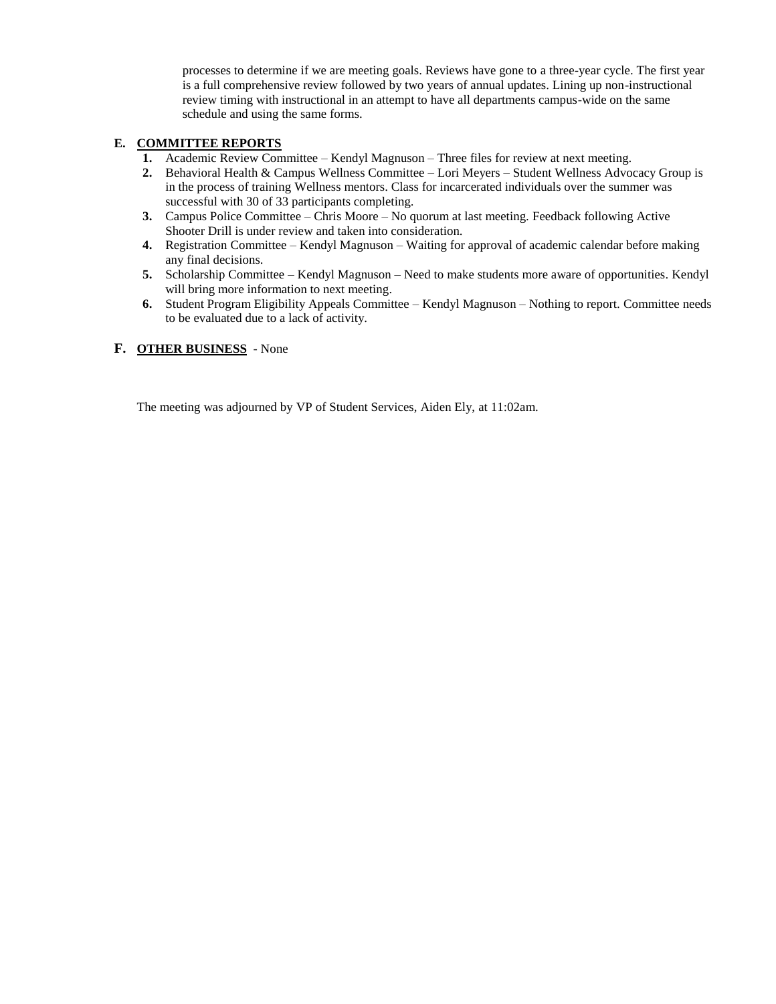processes to determine if we are meeting goals. Reviews have gone to a three-year cycle. The first year is a full comprehensive review followed by two years of annual updates. Lining up non-instructional review timing with instructional in an attempt to have all departments campus-wide on the same schedule and using the same forms.

# **E. COMMITTEE REPORTS**

- **1.** Academic Review Committee Kendyl Magnuson Three files for review at next meeting.
- **2.** Behavioral Health & Campus Wellness Committee Lori Meyers Student Wellness Advocacy Group is in the process of training Wellness mentors. Class for incarcerated individuals over the summer was successful with 30 of 33 participants completing.
- **3.** Campus Police Committee Chris Moore No quorum at last meeting. Feedback following Active Shooter Drill is under review and taken into consideration.
- **4.** Registration Committee Kendyl Magnuson Waiting for approval of academic calendar before making any final decisions.
- **5.** Scholarship Committee Kendyl Magnuson Need to make students more aware of opportunities. Kendyl will bring more information to next meeting.
- **6.** Student Program Eligibility Appeals Committee Kendyl Magnuson Nothing to report. Committee needs to be evaluated due to a lack of activity.
- **F. OTHER BUSINESS**  None

The meeting was adjourned by VP of Student Services, Aiden Ely, at 11:02am.